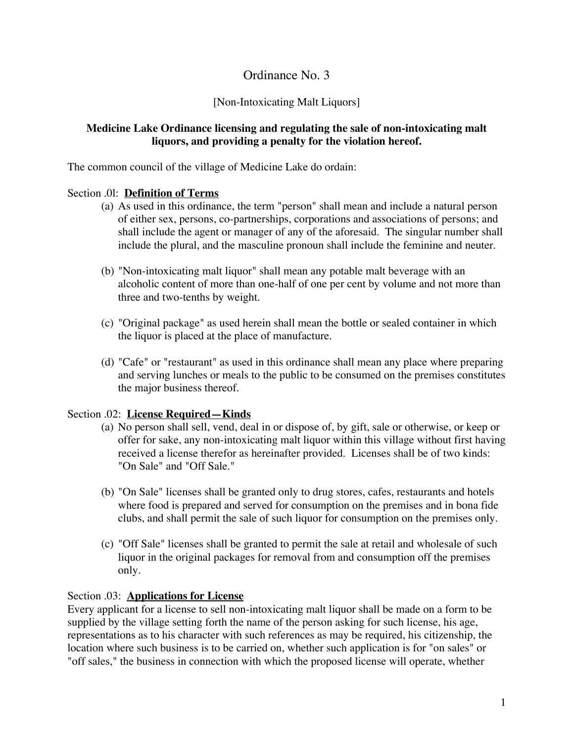# Ordinance No. 3

## [Non-Intoxicating Malt Liquors]

## **Medicine Lake Ordinance licensing and regulating the sale of non-intoxicating malt liquors, and providing a penalty for the violation hereof.**

The common council of the village of Medicine Lake do ordain:

#### Section .0l: **Definition of Terms**

- (a) As used in this ordinance, the term "person" shall mean and include a natural person of either sex, persons, co-partnerships, corporations and associations of persons; and shall include the agent or manager of any of the aforesaid. The singular number shall include the plural, and the masculine pronoun shall include the feminine and neuter.
- (b) "Non-intoxicating malt liquor" shall mean any potable malt beverage with an alcoholic content of more than one-half of one per cent by volume and not more than three and two-tenths by weight.
- (c) "Original package" as used herein shall mean the bottle or sealed container in which the liquor is placed at the place of manufacture.
- (d) "Cafe" or "restaurant" as used in this ordinance shall mean any place where preparing and serving lunches or meals to the public to be consumed on the premises constitutes the major business thereof.

## Section .02: **License Required—Kinds**

- (a) No person shall sell, vend, deal in or dispose of, by gift, sale or otherwise, or keep or offer for sake, any non-intoxicating malt liquor within this village without first having received a license therefor as hereinafter provided. Licenses shall be of two kinds: "On Sale" and "Off Sale."
- (b) "On Sale" licenses shall be granted only to drug stores, cafes, restaurants and hotels where food is prepared and served for consumption on the premises and in bona fide clubs, and shall permit the sale of such liquor for consumption on the premises only.
- (c) "Off Sale" licenses shall be granted to permit the sale at retail and wholesale of such liquor in the original packages for removal from and consumption off the premises only.

## Section .03: **Applications for License**

Every applicant for a license to sell non-intoxicating malt liquor shall be made on a form to be supplied by the village setting forth the name of the person asking for such license, his age, representations as to his character with such references as may be required, his citizenship, the location where such business is to be carried on, whether such application is for "on sales" or "off sales," the business in connection with which the proposed license will operate, whether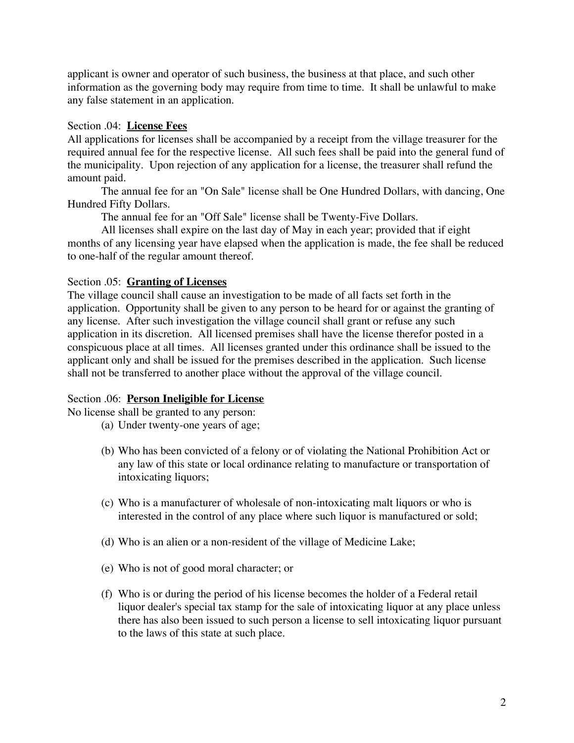applicant is owner and operator of such business, the business at that place, and such other information as the governing body may require from time to time. It shall be unlawful to make any false statement in an application.

#### Section .04: **License Fees**

All applications for licenses shall be accompanied by a receipt from the village treasurer for the required annual fee for the respective license. All such fees shall be paid into the general fund of the municipality. Upon rejection of any application for a license, the treasurer shall refund the amount paid.

The annual fee for an "On Sale" license shall be One Hundred Dollars, with dancing, One Hundred Fifty Dollars.

The annual fee for an "Off Sale" license shall be Twenty-Five Dollars.

All licenses shall expire on the last day of May in each year; provided that if eight months of any licensing year have elapsed when the application is made, the fee shall be reduced to one-half of the regular amount thereof.

#### Section .05: **Granting of Licenses**

The village council shall cause an investigation to be made of all facts set forth in the application. Opportunity shall be given to any person to be heard for or against the granting of any license. After such investigation the village council shall grant or refuse any such application in its discretion. All licensed premises shall have the license therefor posted in a conspicuous place at all times. All licenses granted under this ordinance shall be issued to the applicant only and shall be issued for the premises described in the application. Such license shall not be transferred to another place without the approval of the village council.

#### Section .06: **Person Ineligible for License**

No license shall be granted to any person:

- (a) Under twenty-one years of age;
- (b) Who has been convicted of a felony or of violating the National Prohibition Act or any law of this state or local ordinance relating to manufacture or transportation of intoxicating liquors;
- (c) Who is a manufacturer of wholesale of non-intoxicating malt liquors or who is interested in the control of any place where such liquor is manufactured or sold;
- (d) Who is an alien or a non-resident of the village of Medicine Lake;
- (e) Who is not of good moral character; or
- (f) Who is or during the period of his license becomes the holder of a Federal retail liquor dealer's special tax stamp for the sale of intoxicating liquor at any place unless there has also been issued to such person a license to sell intoxicating liquor pursuant to the laws of this state at such place.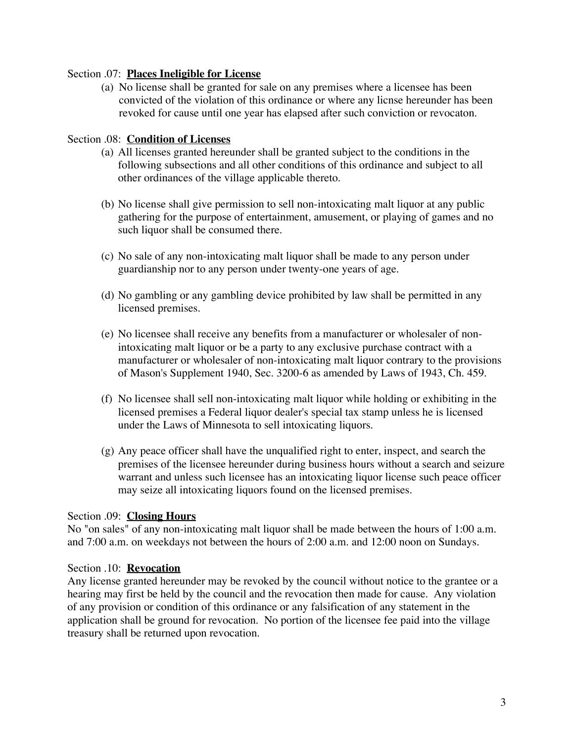#### Section .07: **Places Ineligible for License**

(a) No license shall be granted for sale on any premises where a licensee has been convicted of the violation of this ordinance or where any licnse hereunder has been revoked for cause until one year has elapsed after such conviction or revocaton.

#### Section .08: **Condition of Licenses**

- (a) All licenses granted hereunder shall be granted subject to the conditions in the following subsections and all other conditions of this ordinance and subject to all other ordinances of the village applicable thereto.
- (b) No license shall give permission to sell non-intoxicating malt liquor at any public gathering for the purpose of entertainment, amusement, or playing of games and no such liquor shall be consumed there.
- (c) No sale of any non-intoxicating malt liquor shall be made to any person under guardianship nor to any person under twenty-one years of age.
- (d) No gambling or any gambling device prohibited by law shall be permitted in any licensed premises.
- (e) No licensee shall receive any benefits from a manufacturer or wholesaler of nonintoxicating malt liquor or be a party to any exclusive purchase contract with a manufacturer or wholesaler of non-intoxicating malt liquor contrary to the provisions of Mason's Supplement 1940, Sec. 3200-6 as amended by Laws of 1943, Ch. 459.
- (f) No licensee shall sell non-intoxicating malt liquor while holding or exhibiting in the licensed premises a Federal liquor dealer's special tax stamp unless he is licensed under the Laws of Minnesota to sell intoxicating liquors.
- (g) Any peace officer shall have the unqualified right to enter, inspect, and search the premises of the licensee hereunder during business hours without a search and seizure warrant and unless such licensee has an intoxicating liquor license such peace officer may seize all intoxicating liquors found on the licensed premises.

#### Section .09: **Closing Hours**

No "on sales" of any non-intoxicating malt liquor shall be made between the hours of 1:00 a.m. and 7:00 a.m. on weekdays not between the hours of 2:00 a.m. and 12:00 noon on Sundays.

#### Section .10: **Revocation**

Any license granted hereunder may be revoked by the council without notice to the grantee or a hearing may first be held by the council and the revocation then made for cause. Any violation of any provision or condition of this ordinance or any falsification of any statement in the application shall be ground for revocation. No portion of the licensee fee paid into the village treasury shall be returned upon revocation.